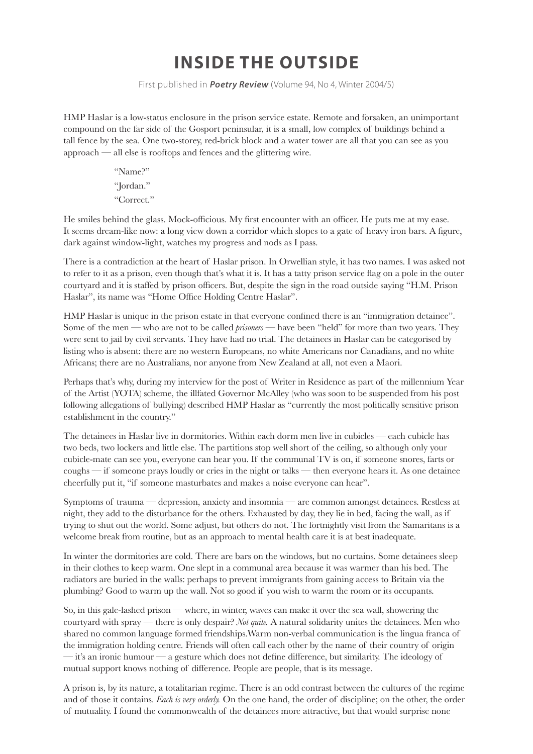## **INSIDE THE OUTSIDE**

First published in **Poetry Review** (Volume 94, No 4, Winter 2004/5)

HMP Haslar is a low-status enclosure in the prison service estate. Remote and forsaken, an unimportant compound on the far side of the Gosport peninsular, it is a small, low complex of buildings behind a tall fence by the sea. One two-storey, red-brick block and a water tower are all that you can see as you approach — all else is rooftops and fences and the glittering wire.

> "Name?" "Jordan." "Correct."

He smiles behind the glass. Mock-officious. My first encounter with an officer. He puts me at my ease. It seems dream-like now: a long view down a corridor which slopes to a gate of heavy iron bars. A figure, dark against window-light, watches my progress and nods as I pass.

There is a contradiction at the heart of Haslar prison. In Orwellian style, it has two names. I was asked not to refer to it as a prison, even though that's what it is. It has a tatty prison service flag on a pole in the outer courtyard and it is staffed by prison officers. But, despite the sign in the road outside saying "H.M. Prison Haslar", its name was "Home Office Holding Centre Haslar".

HMP Haslar is unique in the prison estate in that everyone confined there is an "immigration detainee". Some of the men — who are not to be called *prisoners* — have been "held" for more than two years. They were sent to jail by civil servants. They have had no trial. The detainees in Haslar can be categorised by listing who is absent: there are no western Europeans, no white Americans nor Canadians, and no white Africans; there are no Australians, nor anyone from New Zealand at all, not even a Maori.

Perhaps that's why, during my interview for the post of Writer in Residence as part of the millennium Year of the Artist (YOTA) scheme, the illfated Governor McAlley (who was soon to be suspended from his post following allegations of bullying) described HMP Haslar as "currently the most politically sensitive prison establishment in the country."

The detainees in Haslar live in dormitories. Within each dorm men live in cubicles — each cubicle has two beds, two lockers and little else. The partitions stop well short of the ceiling, so although only your cubicle-mate can see you, everyone can hear you. If the communal TV is on, if someone snores, farts or coughs — if someone prays loudly or cries in the night or talks — then everyone hears it. As one detainee cheerfully put it, "if someone masturbates and makes a noise everyone can hear".

Symptoms of trauma — depression, anxiety and insomnia — are common amongst detainees. Restless at night, they add to the disturbance for the others. Exhausted by day, they lie in bed, facing the wall, as if trying to shut out the world. Some adjust, but others do not. The fortnightly visit from the Samaritans is a welcome break from routine, but as an approach to mental health care it is at best inadequate.

In winter the dormitories are cold. There are bars on the windows, but no curtains. Some detainees sleep in their clothes to keep warm. One slept in a communal area because it was warmer than his bed. The radiators are buried in the walls: perhaps to prevent immigrants from gaining access to Britain via the plumbing? Good to warm up the wall. Not so good if you wish to warm the room or its occupants.

So, in this gale-lashed prison — where, in winter, waves can make it over the sea wall, showering the courtyard with spray — there is only despair? *Not quite.* A natural solidarity unites the detainees. Men who shared no common language formed friendships.Warm non-verbal communication is the lingua franca of the immigration holding centre. Friends will often call each other by the name of their country of origin  $-$  it's an ironic humour  $-$  a gesture which does not define difference, but similarity. The ideology of mutual support knows nothing of difference. People are people, that is its message.

A prison is, by its nature, a totalitarian regime. There is an odd contrast between the cultures of the regime and of those it contains. *Each is very orderly.* On the one hand, the order of discipline; on the other, the order of mutuality. I found the commonwealth of the detainees more attractive, but that would surprise none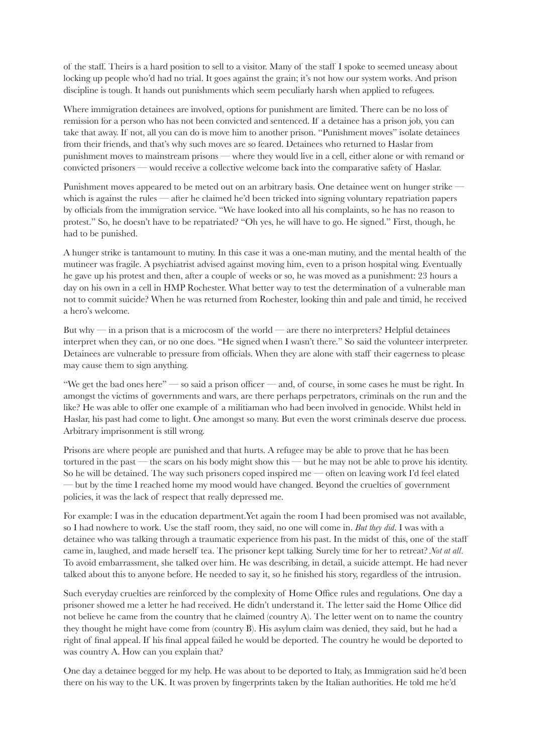of the staff. Theirs is a hard position to sell to a visitor. Many of the staff I spoke to seemed uneasy about locking up people who'd had no trial. It goes against the grain; it's not how our system works. And prison discipline is tough. It hands out punishments which seem peculiarly harsh when applied to refugees.

Where immigration detainees are involved, options for punishment are limited. There can be no loss of remission for a person who has not been convicted and sentenced. If a detainee has a prison job, you can take that away. If not, all you can do is move him to another prison. "Punishment moves" isolate detainees from their friends, and that's why such moves are so feared. Detainees who returned to Haslar from punishment moves to mainstream prisons — where they would live in a cell, either alone or with remand or convicted prisoners — would receive a collective welcome back into the comparative safety of Haslar.

Punishment moves appeared to be meted out on an arbitrary basis. One detainee went on hunger strike which is against the rules — after he claimed he'd been tricked into signing voluntary repatriation papers by officials from the immigration service. "We have looked into all his complaints, so he has no reason to protest." So, he doesn't have to be repatriated? "Oh yes, he will have to go. He signed." First, though, he had to be punished.

A hunger strike is tantamount to mutiny. In this case it was a one-man mutiny, and the mental health of the mutineer was fragile. A psychiatrist advised against moving him, even to a prison hospital wing. Eventually he gave up his protest and then, after a couple of weeks or so, he was moved as a punishment: 23 hours a day on his own in a cell in HMP Rochester. What better way to test the determination of a vulnerable man not to commit suicide? When he was returned from Rochester, looking thin and pale and timid, he received a hero's welcome.

But why — in a prison that is a microcosm of the world — are there no interpreters? Helpful detainees interpret when they can, or no one does. "He signed when I wasn't there." So said the volunteer interpreter. Detainees are vulnerable to pressure from officials. When they are alone with staff their eagerness to please may cause them to sign anything.

"We get the bad ones here" — so said a prison officer — and, of course, in some cases he must be right. In amongst the victims of governments and wars, are there perhaps perpetrators, criminals on the run and the like? He was able to offer one example of a militiaman who had been involved in genocide. Whilst held in Haslar, his past had come to light. One amongst so many. But even the worst criminals deserve due process. Arbitrary imprisonment is still wrong.

Prisons are where people are punished and that hurts. A refugee may be able to prove that he has been tortured in the past — the scars on his body might show this — but he may not be able to prove his identity. So he will be detained. The way such prisoners coped inspired me — often on leaving work I'd feel elated — but by the time I reached home my mood would have changed. Beyond the cruelties of government policies, it was the lack of respect that really depressed me.

For example: I was in the education department.Yet again the room I had been promised was not available, so I had nowhere to work. Use the staff room, they said, no one will come in. *But they did*. I was with a detainee who was talking through a traumatic experience from his past. In the midst of this, one of the staff came in, laughed, and made herself tea. The prisoner kept talking. Surely time for her to retreat? *Not at all*. To avoid embarrassment, she talked over him. He was describing, in detail, a suicide attempt. He had never talked about this to anyone before. He needed to say it, so he finished his story, regardless of the intrusion.

Such everyday cruelties are reinforced by the complexity of Home Office rules and regulations. One day a prisoner showed me a letter he had received. He didn't understand it. The letter said the Home Office did not believe he came from the country that he claimed (country A). The letter went on to name the country they thought he might have come from (country B). His asylum claim was denied, they said, but he had a right of final appeal. If his final appeal failed he would be deported. The country he would be deported to was country A. How can you explain that?

One day a detainee begged for my help. He was about to be deported to Italy, as Immigration said he'd been there on his way to the UK. It was proven by fingerprints taken by the Italian authorities. He told me he'd